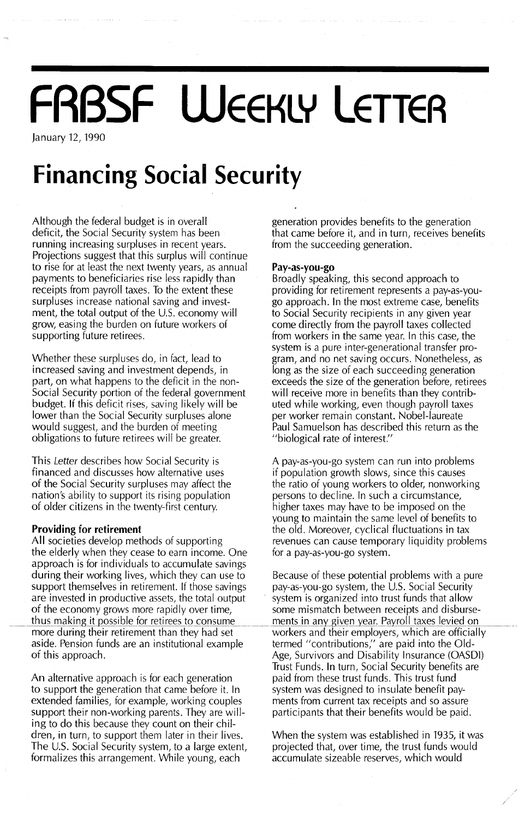# **FRBSF WEEKLY LETTER**

January 12, 1990

## **Financing Social Security**

Although the federal budget is in overall deficit, the Social Security system has been running increasing surpluses in recent years. Projections suggest that this surplus will continue to rise for at least the next twenty years, as annual payments to beneficiaries rise less rapidly than receipts from payroll taxes. To the extent these surpluses increase national saving and investment, the total output of the U.S. economy will grow, easing the burden on future workers of supporting future retirees.

Whether these surpluses do, in fact, lead to increased saving and investment depends, in part, on what happens to the deficit in the non-Social Security portion of the federal government budget If this deficit rises, saving likely will be lower than the Social Security surpluses alone would suggest, and the burden of meeting obligations to future retirees will be greater.

This Letter describes how Social Security is financed and discusses how alternative uses of the Social Security surpluses may affect the nation's ability to support its rising population of older citizens in the twenty-first century.

#### **Providing for retirement**

All societies develop methods of supporting the elderly when they cease to earn income. One approach is for individuals to accumulate savings during their working lives, which they can use to Because of these potential problems with a pure support themselves in retirement. If those savings pay-as-you-go system, the U.S. Social Security are invested in productive assets, the total output system is organized into trust funds that allow of the economy grows more rapidly over time, some mismatch between receipts and disburse-<br>thus making it possible for retirees to consume ments in any given year. Payroll taxes levied on thus making it possible for retirees to consume ments in any given year. Payroll taxes levied on more during their retirement than they had set workers and their employers, which are officiall aside. Pension funds are an institutional example aside. Pension funds are an institutional example termed "contributions," are paid into the Old-<br>of this approach. Age, Survivors and Disability Insurance (OASDI)

An alternative approach is for each generation to support the generation that came before it. In extended families, for example, working couples support their non-working parents. They are willing to do this because they count on their children, in turn, to support them later in their lives. The U.s. Social Security system, to a large extent, formalizes this arrangement. While young, each

generation provides benefits to the generation that came before it, and in turn, receives benefits from the succeeding generation.

#### **Pay-as-you-go**

Broadly speaking, this second approach to providing for retirement represents a pay-as-yougo approach. In the most extreme case, benefits to Social Security recipients in any given year come directly from the payroll taxes collected from workers in the same year. In this case, the system is a pure inter-generational transfer program, and no net saving occurs. Nonetheless, as long as the size of each succeeding generation **exceeds the size of the generation before, retirees** will receive more in benefits than they contributed while working, even though payroll taxes per worker remain constant. Nobel-laureate Paul Samuelson has described this return as the "biological rate of interest."

A pay-as-you-go system can run into problems if population growth slows, since this causes the ratio of young workers to older, nonworking persons to decline. In such a circumstance, higher taxes may have to be imposed on the young to maintain the same level of benefits to the old. Moreover, cyclical fluctuations in tax revenues can cause temporary liquidity problems for a pay-as-you-go system.

workers and their employers, which are officially Trust Funds. In turn, Social Security benefits are paid from these trust funds. This trust fund system was designed to insulate benefit payments from current tax receipts and so assure participants that their benefits would be paid.

When the system was established in 1935, it was projected that, over time, the trust funds would accumulate sizeable reserves, which would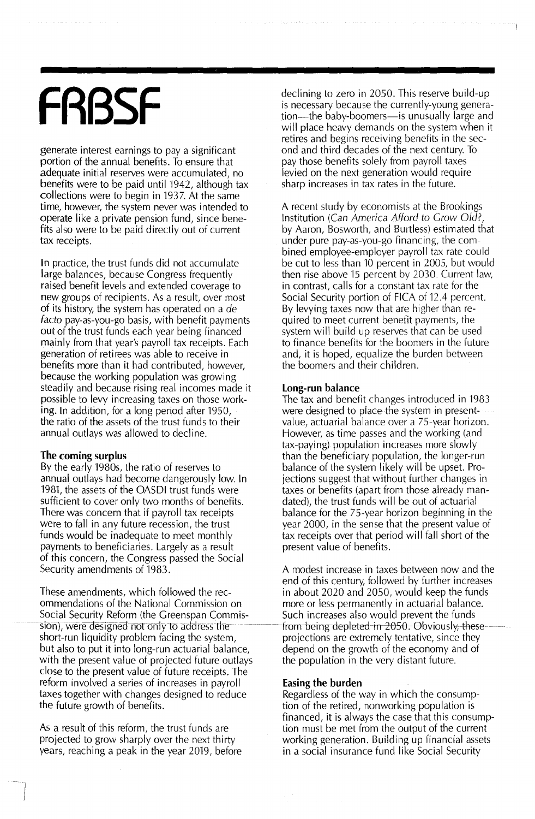## **FRBSF**

generate interest earnings to pay a significant portion of the annual benefits. To ensure that adequate initial reserves were accumulated, no benefits were to be paid until 1942, although tax collections were to begin in 1937. At the same time, however, the system never was intended to operate like a private pension fund, since benefits also were to be paid directly out of current tax receipts.

In practice, the trust funds did not accumulate large balances, because Congress frequently raised benefit levels and extended coverage to new groups of recipients. As a result, over most of its history, the system has operated on a de facto pay-as-you-go basis, with benefit payments out of the trust funds each year being financed mainly from that year's payroll tax receipts. Each generation of retirees was able to receive in benefits more than it had contributed, however, because the working population was growing steadily and because rising real incomes made it possible to levy increasing taxes on those working. In addition, for a long period after 1950, the ratio of the assets of the trust funds to their annual outlays was allowed to decline.

#### **The coming surplus**

By the early 1980s, the ratio of reserves to annual outlays had become dangerously low. In 1981, the assets of the OASDI trust funds were sufficient to cover only two months of benefits. There was concern that if payroll tax receipts were to fall in any future recession, the trust funds would be inadequate to meet monthly payments to beneficiaries. Largely as a result of this concern, the Congress passed the Social Security amendments of 1983.

These amendments, which followed the recommendations of the National Commission on Social Security Reform (the Greenspan Commis sion), were designed not only to address the short-run liquidity problem facing the system, but also to put it into long-run actuarial balance, with the present value of projected future outlays close to the present value of future receipts. The reform involved a series of increases in payroll taxes together with changes designed to reduce the future growth of benefits.

As a result of this reform, the trust funds are projected to grow sharply over the next thirty years, reaching a peak in the year 2019, before declining to zero in 2050. This reserve build-up is necessary because the currently-young generation—the baby-boomers—is unusually large and will place heavy demands on the system when it retires and begins receiving benefits in the second and third decades of the next century. To pay those benefits solely from payroll taxes levied on the next generation would require sharp increases in tax rates in the future.

A recent study by economists at the Brookings Institution (Can America Afford to Grow Old?, by Aaron, Bosworth, and Burtless) estimated that under pure pay-as-you-go financing, the combined employee-employer payroll tax rate could be cut to less than 10 percent in 2005, but would then rise above 15 percent by 2030. Current law, in contrast, calls for a constant tax rate for the Social Security portion of FICA of 12.4 percent. By levying taxes now that are higher than required to meet current benefit payments, the system will build up reserves that can be used to finance benefits for the boomers in the future and, it is hoped, equalize the burden between the boomers and their children.

#### **Long-run balance**

The tax and benefit changes introduced in 1983 were designed to place the system in presentvalue, actuarial balance over a 75-year horizon. However, as time passes and the working (and tax-paying) population increases more slowly than the beneficiary population, the longer-run balance of the system likely will be upset. Projections suggest that without further changes in taxes or benefits (apart from those already mandated), the trust funds will be out of actuarial balance for the 75-year horizon beginning in the year 2000, in the sense that the present value of tax receipts over that period will fall short of the present value of benefits.

A modest increase in taxes between now and the end of this century, followed by further increases in about 2020 and 2050, would keep the funds more or less permanently in actuarial balance. Such increases also would prevent the funds from-being-depleted-in-2050. Obviously, theseprojections are extremely tentative, since they depend on the growth of the economy and of the population in the very distant future.

#### **Easing the burden**

Regardless of the way in which the consumption of the retired, nonworking population is financed, it is always the case that this consumption must be met from the output of the current working generation. Building up financial assets in a social insurance fund like Social Security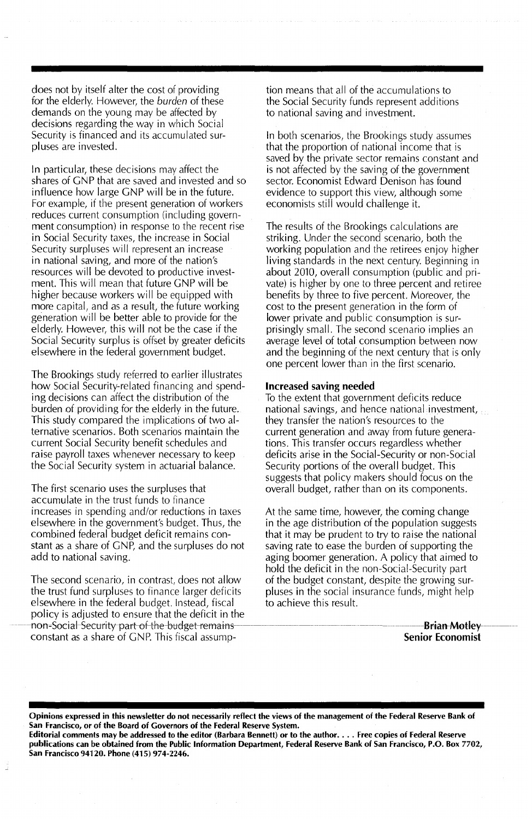does not by itself alter the cost of providing for the elderly. However, the *burden* of these demands on the young may be affected by decisions regarding the way in which Social Security is financed and its accumulated surpluses are invested.

In particular, these decisions may affect the shares of GNP that are saved and invested and so influence how large GNP will be in the future. For example, if the present generation of workers reduces current consumption (including government consumption) in response to the recent rise in Social Security taxes, the increase in Social Security surpluses will represent an increase in national saving, and more of the nation's resources will be devoted to productive investment. This will mean that future GNP will be higher because workers will be equipped with more capital, and as a result, the future working generation will be better able to provide for the elderly. However, this will not be the case if the Social Security surplus is offset by greater deficits elsewhere in the federal government budget.

The Brookings study referred to earlier illustrates how Social Security-related financing and spending decisions can affect the distribution of the burden of providing for the elderly in the future. This study compared the implications of two alternative scenarios. Both scenarios maintain the current Social Security benefit schedu les and raise payroll taxes whenever necessary to keep the Social Security system in actuarial balance.

The first scenario uses the surpluses that accumulate in the trust funds to finance increases in spending and/or reductions in taxes elsewhere in the government's budget. Thus, the combined federal budget deficit remains constant as a share of GNP, and the surpluses do not add to national saving.

The second scenario, in contrast, does not allow the trust fund surpluses to finance larger deficits elsewhere in the federal budget. Instead, fiscal policy is adjusted to ensure that the deficit in the non-Social-Security part of the budget-remainsconstant as a share of GNP. This fiscal assumption means that all of the accumulations to the Social Security funds represent additions to national saving and investment.

In both scenarios, the Brookings study assumes that the proportion of national income that is saved by the private sector remains constant and is not affected by the saving of the government sector. Economist Edward Denison has found evidence to support this view, although some economists stili would challenge it.

The results of the Brookings calculations are striking. Under the second scenario, both the working population and the retirees enjoy higher living standards in the next century. Beginning in about 2010, overall consumption (public and private) is higher by one to three percent and retiree benefits by three to five percent. Moreover, the cost to the present generation in the form of lower private and public consumption is surprisingly small. The second scenario implies an average level of total consumption between now and the beginning of the next century that is only one percent lower than in the first scenario.

#### Increased saving needed

To the extent that government deficits reduce national savings, and hence national investment, they transfer the nation's resources to the current generation and away from future generations. This transfer occurs regardless whether deficits arise in the Social-Security or non-Social Security portions of the overall budget. This suggests that policy makers should focus on the overall budget, rather than on its components.

At the same time, however, the coming change in the age distribution of the population suggests that it may be prudent to try to raise the national saving rate to ease the burden of supporting the aging boomer generation. A policy that aimed to hold the deficit in the non-Social-Security part of the budget constant, despite the growing surpluses in the social insurance funds, might help to achieve this result.

> Brian Motley Senior Economist

Opinions expressed in this newsletter do not necessarily reflect the views of the management of the Federal Reserve Bank of San Francisco, or of the Board of Governors of the Federal Reserve System.

Editorial comments may be addressed to the editor (Barbara Bennett) or to the author.... Free copies of Federal Reserve publications can be obtained from the Public Information Department, Federal Reserve Bank of San Francisco, P.O. Box 7702, San Francisco 94120. Phone (415) 974-2246.